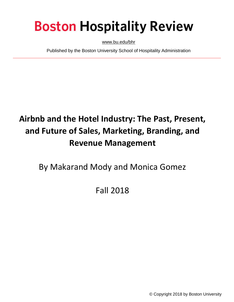# **Boston Hospitality Review**

[www.bu.edu/bhr](http://www.bu.edu/bhr)

Published by the Boston University School of Hospitality Administration

## **Airbnb and the Hotel Industry: The Past, Present, and Future of Sales, Marketing, Branding, and Revenue Management**

By Makarand Mody and Monica Gomez

## Fall 2018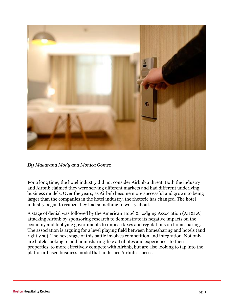

*By Makarand Mody and Monica Gomez*

For a long time, the hotel industry did not consider Airbnb a threat. Both the industry and Airbnb claimed they were serving different markets and had different underlying business models. Over the years, as Airbnb become more successful and grown to being larger than the companies in the hotel industry, the rhetoric has changed. The hotel industry began to realize they had something to worry about.

A stage of denial was followed by the American Hotel & Lodging Association (AH&LA) attacking Airbnb by sponsoring research to demonstrate its negative impacts on the economy and lobbying governments to impose taxes and regulations on homesharing. The association is arguing for a level playing field between homesharing and hotels (and rightly so). The next stage of this battle involves competition and integration. Not only are hotels looking to add homesharing-like attributes and experiences to their properties, to more effectively compete with Airbnb, but are also looking to tap into the platform-based business model that underlies Airbnb's success.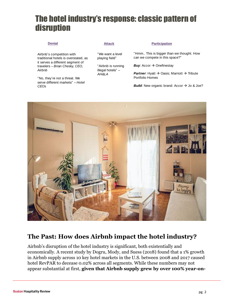## The hotel industry's response: classic pattern of disruption

Airbnb's competition with traditional hotels is overstated, as it serves a different segment of travelers – *Brian Chesky, CEO, Airbnb*

"No, they're not a threat. We serve different markets" – *Hotel CEOs*

"We want a level playing field"

"Airbnb is running illegal hotels" – *AH&LA*

#### **Denial Attack Participation**

"Hmm.. This is bigger than we thought. How can we compete in this space?"

**Buy:** Accor  $\rightarrow$  Onefinestay

*Partner*: Hyatt  $\rightarrow$  Oasis; Marriott  $\rightarrow$  Tribute Partic<br>
"Hmm.. This is big<br>
can we compete<br> **Buy**: Accor  $\Rightarrow$  Or<br>
Partner: Hyatt  $\Rightarrow$ <br>
Portfolio Homes<br> **Build:** New organ

*Build*: New organic brand: Accor  $\rightarrow$  Jo & Joe?



#### **The Past: How does Airbnb impact the hotel industry?**

Airbnb's disruption of the hotel industry is significant, both existentially and economically. A recent study by Dogru, Mody, and Suess (2018) found that a 1% growth in Airbnb supply across 10 key hotel markets in the U.S. between 2008 and 2017 caused hotel RevPAR to decease 0.02% across all segments. While these numbers may not appear substantial at first, **given that Airbnb supply grew by over 100% year-on-**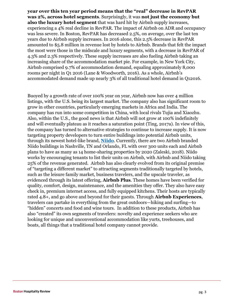**year over this ten year period means that the "real" decrease in RevPAR was 2%, across hotel segments**. Surprisingly, it was **not just the economy but also the luxury hotel segment** that was hard hit by Airbnb supply increases, experiencing a 4% real decline in RevPAR. The impact of Airbnb on ADR and occupancy was less severe. In Boston, RevPAR has decreased 2.5%, on average, over the last ten years due to Airbnb supply increases. In 2016 alone, this 2.5% decrease in RevPAR amounted to \$5.8 million in revenue lost by hotels to Airbnb. Brands that felt the impact the most were those in the midscale and luxury segments, with a decrease in RevPAR of 4.3% and 2.3% respectively. These supply increases are also fueling Airbnb taking an increasing share of the accommodation market pie. For example, in New York City, Airbnb comprised 9.7% of accommodation demand, equaling approximately 8,000 rooms per night in Q1 2016 (Lane & Woodworth, 2016). As a whole, Airbnb's accommodated demand made up nearly 3% of all traditional hotel demand in Q12016.

Buoyed by a growth rate of over 100% year on year, Airbnb now has over 4 million listings, with the U.S. being its largest market. The company also has significant room to grow in other countries, particularly emerging markets in Africa and India. The company has run into some competition in China, with local rivals Tujia and Xiaozhu. Also, within the U.S., the good news is that Airbnb will not grow at 100% indefinitely and will eventually plateau as it reaches a saturation point (Ting, 2017a). In view of this, the company has turned to alternative strategies to continue to increase supply. It is now targeting property developers to turn entire buildings into potential Airbnb units, through its newest hotel-like brand, **[Niido](https://www.niido.com/)**. Currently, there are two Airbnb branded Niido buildings in Nashville, TN and Orlando, FL with over 300 units each and Airbnb plans to have as many as 14 home-sharing properties by 2020 (Zaleski, 2018). Niido works by encouraging tenants to list their units on Airbnb, with Airbnb and Niido taking 25% of the revenue generated. Airbnb has also clearly evolved from its original premise of "targeting a different market" to attracting segments traditionally targeted by hotels, such as the leisure family market, business travelers, and the upscale traveler, as evidenced through its latest offering, **Airbnb Plus**. These homes have been verified for quality, comfort, design, maintenance, and the amenities they offer. They also have easy check in, premium internet access, and fully equipped kitchens. Their hosts are typically rated 4.8+, and go above and beyond for their guests. Through **Airbnb Experiences**, travelers can partake in everything from the great outdoors—hiking and surfing—to "hidden" concerts and food and wine tours. In addition to these products, Airbnb has also "created" its own segments of travelers: novelty and experience seekers who are looking for unique and unconventional accommodation like yurts, treehouses, and boats, all things that a traditional hotel company cannot provide.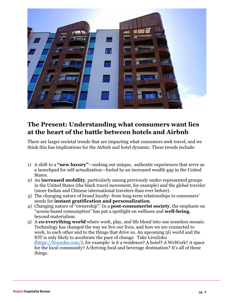

### **The Present: Understanding what consumers want lies at the heart of the battle between hotels and Airbnb**

There are larger societal trends that are impacting what consumers seek travel, and we think this has implications for the Airbnb and hotel dynamic. These trends include:

- 1) A shift to a **"new luxury"**—seeking out unique, authentic experiences that serve as a launchpad for self-actualization—fueled by an increased wealth gap in the United States.
- 2) An **increased mobility**, particularly among previously under-represented groups in the United States (the black travel movement, for example) and the global traveler (more Indian and Chinese international travelers than ever before).
- 3) The changing nature of brand loyalty: from long-term relationships to consumers' needs for **instant gratification and personalization**.
- 4) Changing nature of "ownership": In a **post-consumerist society**, the emphasis on "access-based consumption" has put a spotlight on wellness and **well-being**, beyond materialism.
- 5) A **co-everything world** where work, play, and life blend into one seamless mosaic: Technology has changed the way we live our lives, and how we are connected to work, to each other and to the things that drive us. An upcoming 5G world and the IOT is only likely to accelerate the pace of change. Take LiveZoku [\(https://livezoku.com/\)](https://livezoku.com/), for example: is it a residence? A hotel? A WeWork? A space for the local community? A thriving food and beverage destination? It's all of these things.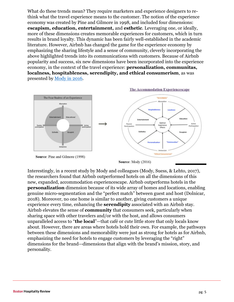What do these trends mean? They require marketers and experience designers to rethink what the travel experience means to the customer. The notion of the experience economy was created by Pine and Gilmore in 1998, and included four dimensions: **escapism, education, entertainment,** and **esthetic**. Leveraging one, or ideally, more of these dimensions creates memorable experiences for customers, which in turn results in brand loyalty. This dynamic has been fairly well-established in the academic literature. However, Airbnb has changed the game for the experience economy by emphasizing the sharing lifestyle and a sense of community, cleverly incorporating the above highlighted trends into its communications with customers. Because of Airbnb popularity and success, six new dimensions have been incorporated into the experience economy, in the context of the travel experience: **personalization, communitas, localness, hospitableness, serendipity, and ethical consumerism**, as was presented by [Mody in 2016.](http://www.bu.edu/bhr/2016/05/27/creating-memorable-experiences-how-hotels-can-fight-back-against-airbnb-and-other-sharing-economy-providers/)



**Source: Mody (2016)** 

Interestingly, in a recent study by Mody and colleagues (Mody, Suess, & Lehto, 2017), the researchers found that Airbnb outperformed hotels on all the dimensions of this new, expanded, accommodation experiencescape. Airbnb outperforms hotels in the **personalization** dimension because of its wide array of homes and locations, enabling genuine micro-segmentation and the "perfect match" between guest and host (Dolnicar, 2018). Moreover, no one home is similar to another, giving customers a unique experience every time, enhancing the **serendipity** associated with an Airbnb stay. Airbnb elevates the sense of **community** that consumers seek, particularly when sharing space with other travelers and/or with the host, and allows consumers unparalleled access to "**the local**"—that café or cute little store that only locals know about. However, there are areas where hotels hold their own. For example, the pathways between these dimensions and memorability were just as strong for hotels as for Airbnb, emphasizing the need for hotels to engage customers by leveraging the "right" dimensions for the brand—dimensions that align with the brand's mission, story, and personality.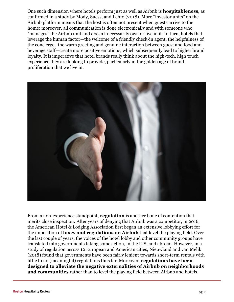One such dimension where hotels perform just as well as Airbnb is **hospitableness**, as confirmed in a study by Mody, Suess, and Lehto (2018). More "investor units" on the Airbnb platform means that the host is often not present when guests arrive to the home; moreover, all communication is done electronically and with someone who "manages" the Airbnb unit and doesn't necessarily own or live in it. In turn, hotels that leverage the human factor—the welcome of a friendly check-in agent, the helpfulness of the concierge, the warm greeting and genuine interaction between guest and food and beverage staff—create more positive emotions, which subsequently lead to higher brand loyalty. It is imperative that hotel brands really think about the high-tech, high touch experience they are looking to provide, particularly in the golden age of brand proliferation that we live in.



From a non-experience standpoint, **regulation** is another bone of contention that merits close inspection**.** After years of denying that Airbnb was a competitor, in 2016, the American Hotel & Lodging Association first began an extensive lobbying effort for the imposition of **taxes and regulations on Airbnb** that level the playing field. Over the last couple of years, the voices of the hotel lobby and other community groups have translated into governments taking some action, in the U.S. and abroad. However, in a study of regulation across 12 European and American cities, Nieuwland and van Melik (2018) found that governments have been fairly lenient towards short-term rentals with little to no (meaningful) regulations thus far. Moreover, **regulations have been designed to alleviate the negative externalities of Airbnb on neighborhoods and communities** rather than to level the playing field between Airbnb and hotels.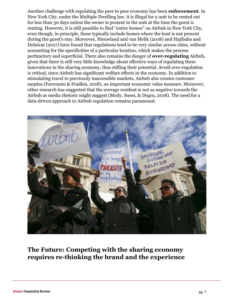Another challenge with regulating the peer to peer economy has been **enforcement**. In New York City, under the Multiple Dwelling law, it is illegal for a unit to be rented out for less than 30 days unless the owner is present in the unit at the time the guest is renting. However, it is still possible to find "entire homes" on Airbnb in New York City, even though, in principle, these typically include homes where the host is not present during the guest's stay. Moreover, Nieuwland and van Melik (2018) and Hajibaba and Dolnicar (2017) have found that regulations tend to be very similar across cities, without accounting for the specificities of a particular location, which makes the process perfunctory and superficial. There also remains the danger of **over-regulating** Airbnb, given that there is still very little knowledge about effective ways of regulating these innovations in the sharing economy, thus stifling their potential. Avoid over-regulation is critical, since Airbnb has significant welfare effects in the economy. In addition to stimulating travel to previously inaccessible markets, Airbnb also creates customer surplus (Farronato & Fradkin, 2018), an important economic value measure. Moreover, other research has suggested that the average resident is not as negative towards the Airbnb as media rhetoric might suggest (Mody, Suess, & Dogru, 2018). The need for a data-driven approach to Airbnb regulation remains paramount.



### **The Future: Competing with the sharing economy requires re-thinking the brand and the experience**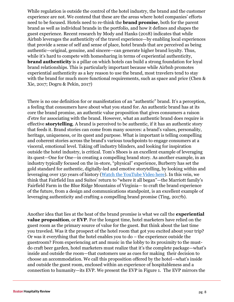While regulation is outside the control of the hotel industry, the brand and the customer experience are not. We contend that these are the areas where hotel companies' efforts need to be focused. Hotels need to re-think the **brand promise**, both for the parent brand as well as individual brands in the portfolio, and how it defines and shapes the guest experience. Recent research by Mody and Hanks (2018) indicates that while Airbnb leverages the authenticity of the travel experience—by enabling local experiences that provide a sense of self and sense of place, hotel brands that are perceived as being authentic—original, genuine, and sincere—can generate higher brand loyalty. Thus, while it's hard to compete with homesharing in terms of experiential authenticity, **brand authenticity** is a pillar on which hotels can build a strong foundation for loyal brand relationships. This is particularly important because while Airbnb promotes experiential authenticity as a key reason to use the brand, most travelers tend to stay with the brand for much more functional requirements, such as space and price (Chen & Xie, 2017; Dogru & Pekin, 2017)

There is no one definition for or manifestation of an "authentic" brand. It's a perception, a feeling that consumers have about what you stand for. An authentic brand has at its core the brand promise, an authentic value proposition that gives consumers a raison d'etre for associating with the brand. However, what an authentic brand does require is effective **storytelling**. A brand is perceived to be authentic, if it has an authentic story that feeds it. Brand stories can come from many sources: a brand's values, personality, heritage, uniqueness, or its quest and purpose. What is important is telling compelling and coherent stories across the brand's various touchpoints to engage consumers at a visceral, emotional level. Taking off industry blinders, and looking for inspiration outside the hotel industry, is critical. Tom's Shoes is an excellent example of leveraging its quest—One for One—in creating a compelling brand story. As another example, in an industry typically focused on the in-store, "physical" experience, Burberry has set the gold standard for authentic, digitally-led and emotive storytelling, by looking within and leveraging over 150 years of history [\(Watch the YouTube Video here\)](https://www.youtube.com/watch?v=krQG2Hceov4). In this vein, we think that Fairfield Inn and Suites' return to "where it all began"—the Marriott family's Fairfield Farm in the Blue Ridge Mountains of Virginia— to craft the brand experience of the future, from a design and communications standpoint, is an excellent example of leveraging authenticity and crafting a compelling brand promise (Ting, 2017b).

Another idea that lies at the heat of the brand promise is what we call the **experiential value proposition**, or **EVP**. For the longest time, hotel marketers have relied on the guest room as the primary source of value for the guest. But think about the last time you traveled. Was it the prospect of the hotel room that got you excited about your trip? Or was it everything that the hotel enables you to do – the experience outside the guestroom? From experiencing art and music in the lobby to its proximity to the mustdo craft beer garden, hotel marketers must realize that it's the complete package—what's inside and outside the room—that customers use as cues for making their decision to choose an accommodation. We call this proposition offered by the hotel—what's inside and outside the guest room, enclosed within an experience of hospitableness and a connection to humanity—its EVP. We present the EVP in Figure 1. The EVP mirrors the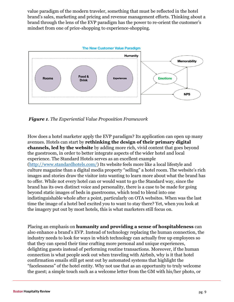value paradigm of the modern traveler, something that must be reflected in the hotel brand's sales, marketing and pricing and revenue management efforts. Thinking about a brand through the lens of the EVP paradigm has the power to re-orient the customer's mindset from one of price-shopping to experience-shopping.



*Figure 1. The Experiential Value Proposition Framework* 

How does a hotel marketer apply the EVP paradigm? Its application can open up many avenues. Hotels can start by **rethinking the design of their primary digital channels, led by the website** by adding more rich, vivid content that goes beyond the guestroom, in order to better integrate aspects of the wider hotel and local experience. The Standard Hotels serves as an excellent example [\(http://www.standardhotels.com/\)](http://www.standardhotels.com/) Its website feels more like a local lifestyle and culture magazine than a digital media property "selling" a hotel room. The website's rich images and stories draw the visitor into wanting to learn more about what the brand has to offer. While not every hotel can or would want to go the Standard way, since the brand has its own distinct voice and personality, there is a case to be made for going beyond static images of beds in guestrooms, which tend to blend into one indistinguishable whole after a point, particularly on OTA websites. When was the last time the image of a hotel bed excited you to want to stay there? Yet, when you look at the imagery put out by most hotels, this is what marketers still focus on.

Placing an emphasis on **humanity and providing a sense of hospitableness** can also enhance a brand's EVP. Instead of technology replacing the human connection, the industry needs to look for ways in which technology can actually free up employees so that they can spend their time crafting more personal and unique experiences, delighting guests instead of performing routine transactions. Moreover, if the human connection is what people seek out when traveling with Airbnb, why is it that hotel confirmation emails still get sent out by automated systems that highlight the "facelessness" of the hotel entity. Why not use that as an opportunity to truly welcome the guest; a simple touch such as a welcome letter from the GM with his/her photo, or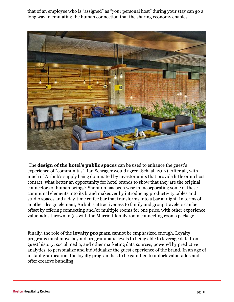that of an employee who is "assigned" as "your personal host" during your stay can go a long way in emulating the human connection that the sharing economy enables.



The **design of the hotel's public spaces** can be used to enhance the guest's experience of "communitas". Ian Schrager would agree (Schaal, 2017). After all, with much of Airbnb's supply being dominated by investor units that provide little or no host contact, what better an opportunity for hotel brands to show that they are the original connectors of human beings? Sheraton has been wise in incorporating some of these communal elements into its brand makeover by introducing productivity tables and studio spaces and a day-time coffee bar that transforms into a bar at night. In terms of another design element, Airbnb's attractiveness to family and group travelers can be offset by offering connecting and/or multiple rooms for one price, with other experience value-adds thrown in (as with the Marriott family room connecting rooms package.

Finally, the role of the **loyalty program** cannot be emphasized enough. Loyalty programs must move beyond programmatic levels to being able to leverage data from guest history, social media, and other marketing data sources, powered by predictive analytics, to personalize and individualize the guest experience of the brand. In an age of instant gratification, the loyalty program has to be gamified to unlock value-adds and offer creative bundling.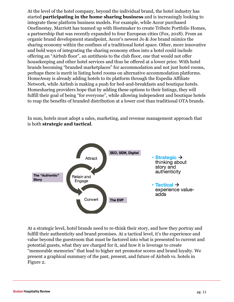At the level of the hotel company, beyond the individual brand, the hotel industry has started **participating in the home sharing business** and is increasingly looking to integrate these platform business models. For example, while Accor purchased Onefinestay, Marriott has teamed up with Hostmaker to create Tribute Portfolio Homes, a partnership that was recently expanded to four European cities (Fox, 2018). From an organic brand development standpoint, Accor's newest Jo & Joe brand mimics the sharing economy within the confines of a traditional hotel space. Other, more innovative and bold ways of integrating the sharing economy ethos into a hotel could include offering an "Airbnb floor", an antithesis to the club floor, one that would not offer housekeeping and other hotel services and thus be offered at a lower price. With hotel brands becoming "branded marketplaces" for accommodation and not just hotel rooms, perhaps there is merit in listing hotel rooms on alternative accommodation platforms. HomeAway is already adding hotels to its platform through the Expedia Affiliate Network, while Airbnb is making a push for bed-and-breakfasts and boutique hotels. Homesharing providers hope that by adding these options to their listings, they will fulfill their goal of being "for everyone", while allowing independent and boutique hotels to reap the benefits of branded distribution at a lower cost than traditional OTA brands.

In sum, hotels must adopt a sales, marketing, and revenue management approach that is both **strategic and tactical**.



At a strategic level, hotel brands need to re-think their story, and how they portray and fulfill their authenticity and brand promises. At a tactical level, it's the experience and value beyond the guestroom that must be factored into what is presented to current and potential guests, what they are charged for it, and how it is leverage to create "memorable memories" that lead to higher net promotor scores and brand loyalty. We present a graphical summary of the past, present, and future of Airbnb vs. hotels in Figure 2.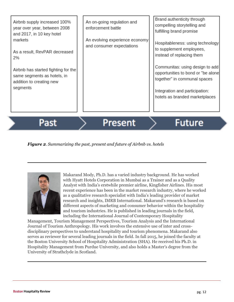| hotels as branded marketplaces |
|--------------------------------|
|--------------------------------|

Past

**Present** 

## **Future**

#### *Figure 2. Summarizing the past, present and future of Airbnb vs. hotels*



Makarand Mody, Ph.D. has a varied industry background. He has worked with Hyatt Hotels Corporation in Mumbai as a Trainer and as a Quality Analyst with India's erstwhile premier airline, Kingfisher Airlines. His most recent experience has been in the market research industry, where he worked as a qualitative research specialist with India's leading provider of market research and insights, IMRB International. Makarand's research is based on different aspects of marketing and consumer behavior within the hospitality and tourism industries. He is published in leading journals in the field, including the International Journal of Contemporary Hospitality

Management, Tourism Management Perspectives, Tourism Analysis and the International Journal of Tourism Anthropology. His work involves the extensive use of inter and crossdisciplinary perspectives to understand hospitality and tourism phenomena. Makarand also serves as reviewer for several leading journals in the field. In fall 2015, he joined the faculty at the Boston University School of Hospitality Administration (SHA). He received his Ph.D. in Hospitality Management from Purdue University, and also holds a Master's degree from the University of Strathclyde in Scotland.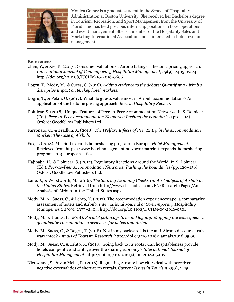

Monica Gomez is a graduate student in the School of Hospitality Administration at Boston University. She received her Bachelor's degree in Tourism, Recreation, and Sport Management from the University of Florida and has held previous internship positions in hotel operations and event management. She is a member of the Hospitality Sales and Marketing International Association and is interested in hotel revenue management.

#### **References**

- Chen, Y., & Xie, K. (2017). Consumer valuation of Airbnb listings: a hedonic pricing approach. *International Journal of Contemporary Hospitality Management*, *29*(9), 2405–2424. http://doi.org/10.1108/IJCHM-10-2016-0606
- Dogru, T., Mody, M., & Suess, C. (2018). *Adding evidence to the debate: Quantifying Airbnb's disruptive impact on ten key hotel markets*.
- Dogru, T., & Pekin, O. (2017). What do guests value most in Airbnb accommodations? An application of the hedonic pricing approach. *Boston Hospitality Review*.
- Dolnicar, S. (2018). Unique Features of Peer-to-Peer Accommodation Networks. In S. Dolnicar (Ed.), *Peer-to-Peer Accommodation Networks: Pushing the boundaries* (pp. 1–14). Oxford: Goodfellow Publishers Ltd.
- Farronato, C., & Fradkin, A. (2018). *The Welfare Effects of Peer Entry in the Accommodation Market: The Case of Airbnb*.
- Fox, J. (2018). Marriott expands homesharing program in Europe. *Hotel Management*. Retrieved from https://www.hotelmanagement.net/own/marriott-expands-homesharingprogram-to-3-european-cities
- Hajibaba, H., & Dolnicar, S. (2017). Regulatory Reactions Around the World. In S. Dolnicar (Ed.), *Peer-to-Peer Accommodation Networks: Pushing the boundaries* (pp. 120–136). Oxford: Goodfellow Publishers Ltd.
- Lane, J., & Woodworth, M. (2016). *The Sharing Economy Checks In: An Analysis of Airbnb in the United States*. Retrieved from http://www.cbrehotels.com/EN/Research/Pages/An-Analysis-of-Airbnb-in-the-United-States.aspx
- Mody, M. A., Suess, C., & Lehto, X. (2017). The accommodation experiencescape: a comparative assessment of hotels and Airbnb. *International Journal of Contemporary Hospitality Management*, *29*(9), 2377–2404. http://doi.org/10.1108/IJCHM-09-2016-0501
- Mody, M., & Hanks, L. (2018). *Parallel pathways to brand loyalty: Mapping the consequences of authentic consumption experiences for hotels and Airbnb*.
- Mody, M., Suess, C., & Dogru, T. (2018). Not in my backyard? Is the anti-Airbnb discourse truly warranted? *Annals of Tourism Research*. http://doi.org/10.1016/j.annals.2018.05.004
- Mody, M., Suess, C., & Lehto, X. (2018). Going back to its roots : Can hospitableness provide hotels competitive advantage over the sharing economy ? *International Journal of Hospitality Management*. http://doi.org/10.1016/j.ijhm.2018.05.017
- Nieuwland, S., & van Melik, R. (2018). Regulating Airbnb: how cities deal with perceived negative externalities of short-term rentals. *Current Issues in Tourism*, *0*(0), 1–15.